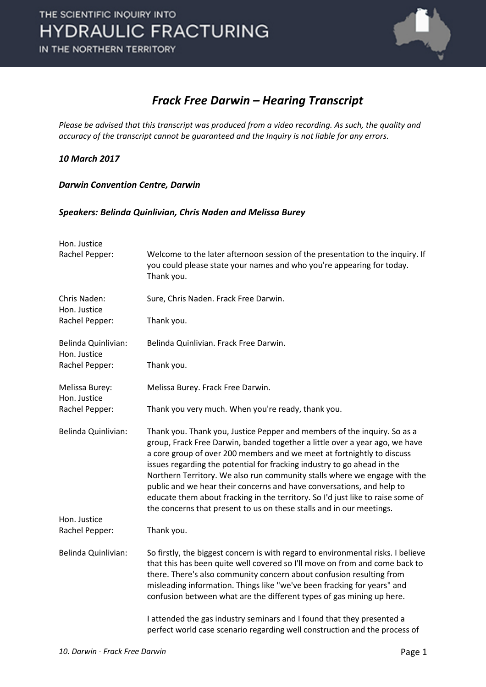

#### *Frack Free Darwin – Hearing Transcript*

*Please be advised that this transcript was produced from a video recording. As such, the quality and accuracy of the transcript cannot be guaranteed and the Inquiry is not liable for any errors.*

#### *10 March 2017*

*Darwin Convention Centre, Darwin* 

#### *Speakers: Belinda Quinlivian, Chris Naden and Melissa Burey*

| Hon. Justice<br>Rachel Pepper:      | Welcome to the later afternoon session of the presentation to the inquiry. If<br>you could please state your names and who you're appearing for today.<br>Thank you.                                                                                                                                                                                                                                                                                                                                                                                                                                                          |
|-------------------------------------|-------------------------------------------------------------------------------------------------------------------------------------------------------------------------------------------------------------------------------------------------------------------------------------------------------------------------------------------------------------------------------------------------------------------------------------------------------------------------------------------------------------------------------------------------------------------------------------------------------------------------------|
| Chris Naden:<br>Hon. Justice        | Sure, Chris Naden. Frack Free Darwin.                                                                                                                                                                                                                                                                                                                                                                                                                                                                                                                                                                                         |
| Rachel Pepper:                      | Thank you.                                                                                                                                                                                                                                                                                                                                                                                                                                                                                                                                                                                                                    |
| Belinda Quinlivian:<br>Hon. Justice | Belinda Quinlivian. Frack Free Darwin.                                                                                                                                                                                                                                                                                                                                                                                                                                                                                                                                                                                        |
| Rachel Pepper:                      | Thank you.                                                                                                                                                                                                                                                                                                                                                                                                                                                                                                                                                                                                                    |
| Melissa Burey:<br>Hon. Justice      | Melissa Burey. Frack Free Darwin.                                                                                                                                                                                                                                                                                                                                                                                                                                                                                                                                                                                             |
| Rachel Pepper:                      | Thank you very much. When you're ready, thank you.                                                                                                                                                                                                                                                                                                                                                                                                                                                                                                                                                                            |
| Belinda Quinlivian:                 | Thank you. Thank you, Justice Pepper and members of the inquiry. So as a<br>group, Frack Free Darwin, banded together a little over a year ago, we have<br>a core group of over 200 members and we meet at fortnightly to discuss<br>issues regarding the potential for fracking industry to go ahead in the<br>Northern Territory. We also run community stalls where we engage with the<br>public and we hear their concerns and have conversations, and help to<br>educate them about fracking in the territory. So I'd just like to raise some of<br>the concerns that present to us on these stalls and in our meetings. |
| Hon. Justice<br>Rachel Pepper:      | Thank you.                                                                                                                                                                                                                                                                                                                                                                                                                                                                                                                                                                                                                    |
|                                     |                                                                                                                                                                                                                                                                                                                                                                                                                                                                                                                                                                                                                               |
| Belinda Quinlivian:                 | So firstly, the biggest concern is with regard to environmental risks. I believe<br>that this has been quite well covered so I'll move on from and come back to<br>there. There's also community concern about confusion resulting from<br>misleading information. Things like "we've been fracking for years" and<br>confusion between what are the different types of gas mining up here.                                                                                                                                                                                                                                   |
|                                     | I attended the gas industry seminars and I found that they presented a<br>perfect world case scenario regarding well construction and the process of                                                                                                                                                                                                                                                                                                                                                                                                                                                                          |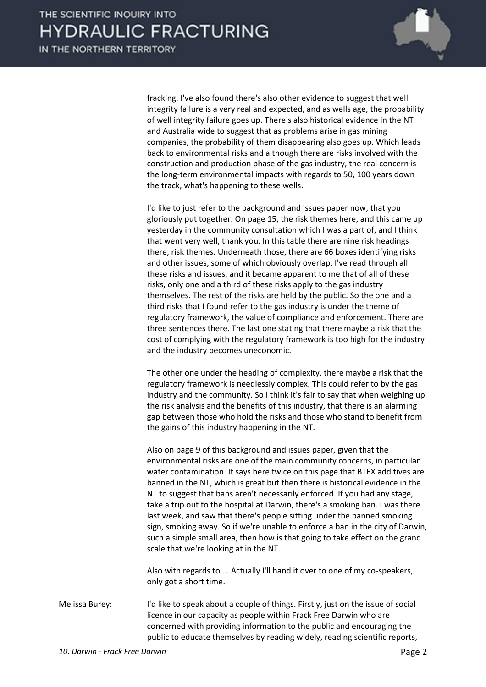

fracking. I've also found there's also other evidence to suggest that well integrity failure is a very real and expected, and as wells age, the probability of well integrity failure goes up. There's also historical evidence in the NT and Australia wide to suggest that as problems arise in gas mining companies, the probability of them disappearing also goes up. Which leads back to environmental risks and although there are risks involved with the construction and production phase of the gas industry, the real concern is the long-term environmental impacts with regards to 50, 100 years down the track, what's happening to these wells.

I'd like to just refer to the background and issues paper now, that you gloriously put together. On page 15, the risk themes here, and this came up yesterday in the community consultation which I was a part of, and I think that went very well, thank you. In this table there are nine risk headings there, risk themes. Underneath those, there are 66 boxes identifying risks and other issues, some of which obviously overlap. I've read through all these risks and issues, and it became apparent to me that of all of these risks, only one and a third of these risks apply to the gas industry themselves. The rest of the risks are held by the public. So the one and a third risks that I found refer to the gas industry is under the theme of regulatory framework, the value of compliance and enforcement. There are three sentences there. The last one stating that there maybe a risk that the cost of complying with the regulatory framework is too high for the industry and the industry becomes uneconomic.

The other one under the heading of complexity, there maybe a risk that the regulatory framework is needlessly complex. This could refer to by the gas industry and the community. So I think it's fair to say that when weighing up the risk analysis and the benefits of this industry, that there is an alarming gap between those who hold the risks and those who stand to benefit from the gains of this industry happening in the NT.

Also on page 9 of this background and issues paper, given that the environmental risks are one of the main community concerns, in particular water contamination. It says here twice on this page that BTEX additives are banned in the NT, which is great but then there is historical evidence in the NT to suggest that bans aren't necessarily enforced. If you had any stage, take a trip out to the hospital at Darwin, there's a smoking ban. I was there last week, and saw that there's people sitting under the banned smoking sign, smoking away. So if we're unable to enforce a ban in the city of Darwin, such a simple small area, then how is that going to take effect on the grand scale that we're looking at in the NT.

Also with regards to ... Actually I'll hand it over to one of my co-speakers, only got a short time.

Melissa Burey: I'd like to speak about a couple of things. Firstly, just on the issue of social licence in our capacity as people within Frack Free Darwin who are concerned with providing information to the public and encouraging the public to educate themselves by reading widely, reading scientific reports,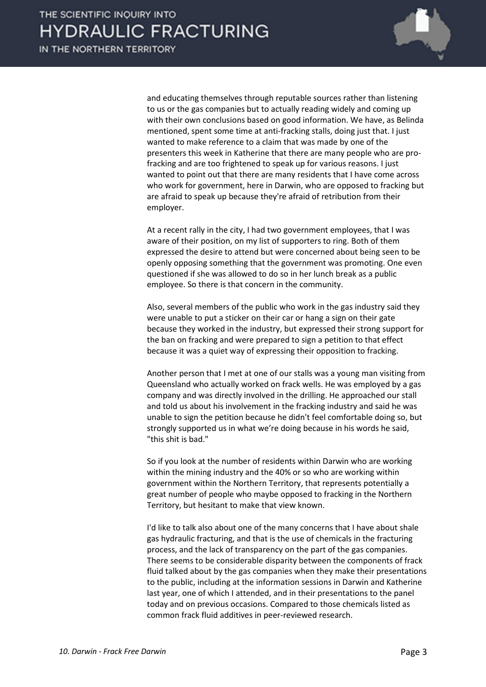

and educating themselves through reputable sources rather than listening to us or the gas companies but to actually reading widely and coming up with their own conclusions based on good information. We have, as Belinda mentioned, spent some time at anti-fracking stalls, doing just that. I just wanted to make reference to a claim that was made by one of the presenters this week in Katherine that there are many people who are profracking and are too frightened to speak up for various reasons. I just wanted to point out that there are many residents that I have come across who work for government, here in Darwin, who are opposed to fracking but are afraid to speak up because they're afraid of retribution from their employer.

At a recent rally in the city, I had two government employees, that I was aware of their position, on my list of supporters to ring. Both of them expressed the desire to attend but were concerned about being seen to be openly opposing something that the government was promoting. One even questioned if she was allowed to do so in her lunch break as a public employee. So there is that concern in the community.

Also, several members of the public who work in the gas industry said they were unable to put a sticker on their car or hang a sign on their gate because they worked in the industry, but expressed their strong support for the ban on fracking and were prepared to sign a petition to that effect because it was a quiet way of expressing their opposition to fracking.

Another person that I met at one of our stalls was a young man visiting from Queensland who actually worked on frack wells. He was employed by a gas company and was directly involved in the drilling. He approached our stall and told us about his involvement in the fracking industry and said he was unable to sign the petition because he didn't feel comfortable doing so, but strongly supported us in what we're doing because in his words he said, "this shit is bad."

So if you look at the number of residents within Darwin who are working within the mining industry and the 40% or so who are working within government within the Northern Territory, that represents potentially a great number of people who maybe opposed to fracking in the Northern Territory, but hesitant to make that view known.

I'd like to talk also about one of the many concerns that I have about shale gas hydraulic fracturing, and that is the use of chemicals in the fracturing process, and the lack of transparency on the part of the gas companies. There seems to be considerable disparity between the components of frack fluid talked about by the gas companies when they make their presentations to the public, including at the information sessions in Darwin and Katherine last year, one of which I attended, and in their presentations to the panel today and on previous occasions. Compared to those chemicals listed as common frack fluid additives in peer-reviewed research.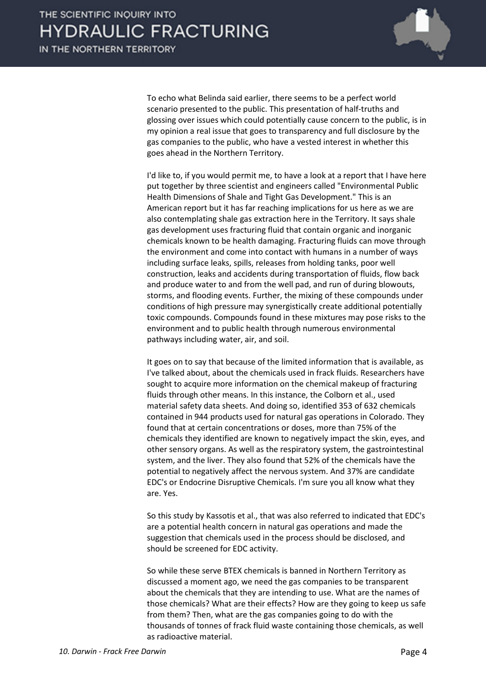

To echo what Belinda said earlier, there seems to be a perfect world scenario presented to the public. This presentation of half-truths and glossing over issues which could potentially cause concern to the public, is in my opinion a real issue that goes to transparency and full disclosure by the gas companies to the public, who have a vested interest in whether this goes ahead in the Northern Territory.

I'd like to, if you would permit me, to have a look at a report that I have here put together by three scientist and engineers called "Environmental Public Health Dimensions of Shale and Tight Gas Development." This is an American report but it has far reaching implications for us here as we are also contemplating shale gas extraction here in the Territory. It says shale gas development uses fracturing fluid that contain organic and inorganic chemicals known to be health damaging. Fracturing fluids can move through the environment and come into contact with humans in a number of ways including surface leaks, spills, releases from holding tanks, poor well construction, leaks and accidents during transportation of fluids, flow back and produce water to and from the well pad, and run of during blowouts, storms, and flooding events. Further, the mixing of these compounds under conditions of high pressure may synergistically create additional potentially toxic compounds. Compounds found in these mixtures may pose risks to the environment and to public health through numerous environmental pathways including water, air, and soil.

It goes on to say that because of the limited information that is available, as I've talked about, about the chemicals used in frack fluids. Researchers have sought to acquire more information on the chemical makeup of fracturing fluids through other means. In this instance, the Colborn et al., used material safety data sheets. And doing so, identified 353 of 632 chemicals contained in 944 products used for natural gas operations in Colorado. They found that at certain concentrations or doses, more than 75% of the chemicals they identified are known to negatively impact the skin, eyes, and other sensory organs. As well as the respiratory system, the gastrointestinal system, and the liver. They also found that 52% of the chemicals have the potential to negatively affect the nervous system. And 37% are candidate EDC's or Endocrine Disruptive Chemicals. I'm sure you all know what they are. Yes.

So this study by Kassotis et al., that was also referred to indicated that EDC's are a potential health concern in natural gas operations and made the suggestion that chemicals used in the process should be disclosed, and should be screened for EDC activity.

So while these serve BTEX chemicals is banned in Northern Territory as discussed a moment ago, we need the gas companies to be transparent about the chemicals that they are intending to use. What are the names of those chemicals? What are their effects? How are they going to keep us safe from them? Then, what are the gas companies going to do with the thousands of tonnes of frack fluid waste containing those chemicals, as well as radioactive material.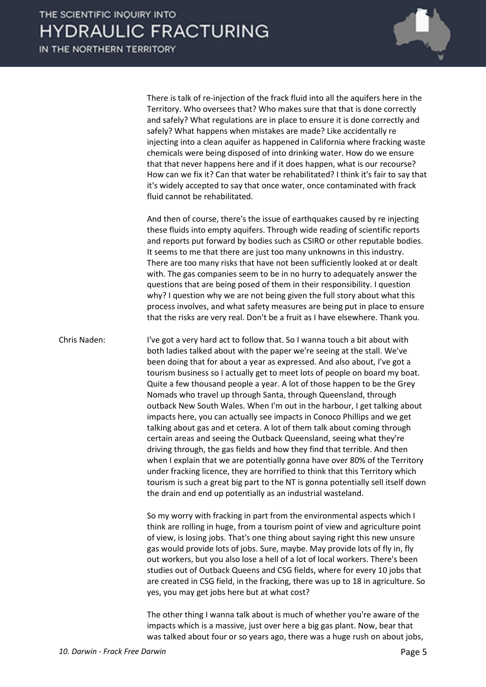

There is talk of re-injection of the frack fluid into all the aquifers here in the Territory. Who oversees that? Who makes sure that that is done correctly and safely? What regulations are in place to ensure it is done correctly and safely? What happens when mistakes are made? Like accidentally re injecting into a clean aquifer as happened in California where fracking waste chemicals were being disposed of into drinking water. How do we ensure that that never happens here and if it does happen, what is our recourse? How can we fix it? Can that water be rehabilitated? I think it's fair to say that it's widely accepted to say that once water, once contaminated with frack fluid cannot be rehabilitated.

And then of course, there's the issue of earthquakes caused by re injecting these fluids into empty aquifers. Through wide reading of scientific reports and reports put forward by bodies such as CSIRO or other reputable bodies. It seems to me that there are just too many unknowns in this industry. There are too many risks that have not been sufficiently looked at or dealt with. The gas companies seem to be in no hurry to adequately answer the questions that are being posed of them in their responsibility. I question why? I question why we are not being given the full story about what this process involves, and what safety measures are being put in place to ensure that the risks are very real. Don't be a fruit as I have elsewhere. Thank you.

Chris Naden: I've got a very hard act to follow that. So I wanna touch a bit about with both ladies talked about with the paper we're seeing at the stall. We've been doing that for about a year as expressed. And also about, I've got a tourism business so I actually get to meet lots of people on board my boat. Quite a few thousand people a year. A lot of those happen to be the Grey Nomads who travel up through Santa, through Queensland, through outback New South Wales. When I'm out in the harbour, I get talking about impacts here, you can actually see impacts in Conoco Phillips and we get talking about gas and et cetera. A lot of them talk about coming through certain areas and seeing the Outback Queensland, seeing what they're driving through, the gas fields and how they find that terrible. And then when I explain that we are potentially gonna have over 80% of the Territory under fracking licence, they are horrified to think that this Territory which tourism is such a great big part to the NT is gonna potentially sell itself down the drain and end up potentially as an industrial wasteland.

> So my worry with fracking in part from the environmental aspects which I think are rolling in huge, from a tourism point of view and agriculture point of view, is losing jobs. That's one thing about saying right this new unsure gas would provide lots of jobs. Sure, maybe. May provide lots of fly in, fly out workers, but you also lose a hell of a lot of local workers. There's been studies out of Outback Queens and CSG fields, where for every 10 jobs that are created in CSG field, in the fracking, there was up to 18 in agriculture. So yes, you may get jobs here but at what cost?

The other thing I wanna talk about is much of whether you're aware of the impacts which is a massive, just over here a big gas plant. Now, bear that was talked about four or so years ago, there was a huge rush on about jobs,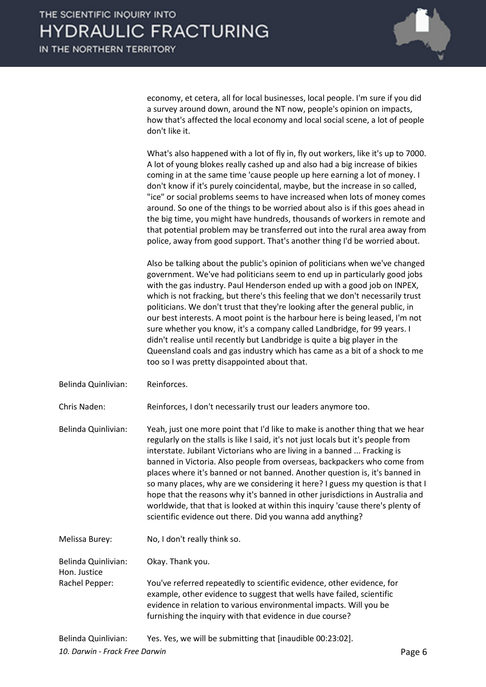

economy, et cetera, all for local businesses, local people. I'm sure if you did a survey around down, around the NT now, people's opinion on impacts, how that's affected the local economy and local social scene, a lot of people don't like it.

What's also happened with a lot of fly in, fly out workers, like it's up to 7000. A lot of young blokes really cashed up and also had a big increase of bikies coming in at the same time 'cause people up here earning a lot of money. I don't know if it's purely coincidental, maybe, but the increase in so called, "ice" or social problems seems to have increased when lots of money comes around. So one of the things to be worried about also is if this goes ahead in the big time, you might have hundreds, thousands of workers in remote and that potential problem may be transferred out into the rural area away from police, away from good support. That's another thing I'd be worried about.

Also be talking about the public's opinion of politicians when we've changed government. We've had politicians seem to end up in particularly good jobs with the gas industry. Paul Henderson ended up with a good job on INPEX, which is not fracking, but there's this feeling that we don't necessarily trust politicians. We don't trust that they're looking after the general public, in our best interests. A moot point is the harbour here is being leased, I'm not sure whether you know, it's a company called Landbridge, for 99 years. I didn't realise until recently but Landbridge is quite a big player in the Queensland coals and gas industry which has came as a bit of a shock to me too so I was pretty disappointed about that.

Belinda Quinlivian: Reinforces.

Chris Naden: Reinforces, I don't necessarily trust our leaders anymore too.

Belinda Quinlivian: Yeah, just one more point that I'd like to make is another thing that we hear regularly on the stalls is like I said, it's not just locals but it's people from interstate. Jubilant Victorians who are living in a banned ... Fracking is banned in Victoria. Also people from overseas, backpackers who come from places where it's banned or not banned. Another question is, it's banned in so many places, why are we considering it here? I guess my question is that I hope that the reasons why it's banned in other jurisdictions in Australia and worldwide, that that is looked at within this inquiry 'cause there's plenty of scientific evidence out there. Did you wanna add anything?

Melissa Burey: No, I don't really think so.

Belinda Quinlivian: Okay. Thank you. Hon. Justice

Rachel Pepper: You've referred repeatedly to scientific evidence, other evidence, for example, other evidence to suggest that wells have failed, scientific evidence in relation to various environmental impacts. Will you be furnishing the inquiry with that evidence in due course?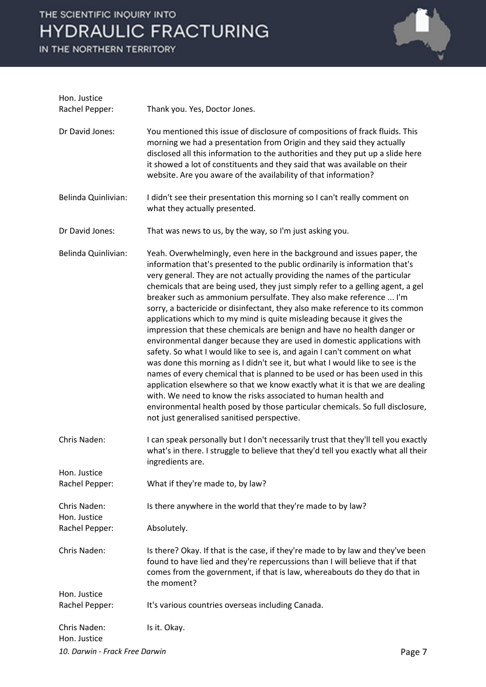IN THE NORTHERN TERRITORY



| Hon. Justice<br>Rachel Pepper: | Thank you. Yes, Doctor Jones.                                                                                                                                                                                                                                                                                                                                                                                                                                                                                                                                                                                                                                                                                                                                                                                                                                                                                                                                                                                                                                                                                                                                                                                                                |
|--------------------------------|----------------------------------------------------------------------------------------------------------------------------------------------------------------------------------------------------------------------------------------------------------------------------------------------------------------------------------------------------------------------------------------------------------------------------------------------------------------------------------------------------------------------------------------------------------------------------------------------------------------------------------------------------------------------------------------------------------------------------------------------------------------------------------------------------------------------------------------------------------------------------------------------------------------------------------------------------------------------------------------------------------------------------------------------------------------------------------------------------------------------------------------------------------------------------------------------------------------------------------------------|
| Dr David Jones:                | You mentioned this issue of disclosure of compositions of frack fluids. This<br>morning we had a presentation from Origin and they said they actually<br>disclosed all this information to the authorities and they put up a slide here<br>it showed a lot of constituents and they said that was available on their<br>website. Are you aware of the availability of that information?                                                                                                                                                                                                                                                                                                                                                                                                                                                                                                                                                                                                                                                                                                                                                                                                                                                      |
| Belinda Quinlivian:            | I didn't see their presentation this morning so I can't really comment on<br>what they actually presented.                                                                                                                                                                                                                                                                                                                                                                                                                                                                                                                                                                                                                                                                                                                                                                                                                                                                                                                                                                                                                                                                                                                                   |
| Dr David Jones:                | That was news to us, by the way, so I'm just asking you.                                                                                                                                                                                                                                                                                                                                                                                                                                                                                                                                                                                                                                                                                                                                                                                                                                                                                                                                                                                                                                                                                                                                                                                     |
| Belinda Quinlivian:            | Yeah. Overwhelmingly, even here in the background and issues paper, the<br>information that's presented to the public ordinarily is information that's<br>very general. They are not actually providing the names of the particular<br>chemicals that are being used, they just simply refer to a gelling agent, a gel<br>breaker such as ammonium persulfate. They also make reference  I'm<br>sorry, a bactericide or disinfectant, they also make reference to its common<br>applications which to my mind is quite misleading because it gives the<br>impression that these chemicals are benign and have no health danger or<br>environmental danger because they are used in domestic applications with<br>safety. So what I would like to see is, and again I can't comment on what<br>was done this morning as I didn't see it, but what I would like to see is the<br>names of every chemical that is planned to be used or has been used in this<br>application elsewhere so that we know exactly what it is that we are dealing<br>with. We need to know the risks associated to human health and<br>environmental health posed by those particular chemicals. So full disclosure,<br>not just generalised sanitised perspective. |
| Chris Naden:                   | I can speak personally but I don't necessarily trust that they'll tell you exactly<br>what's in there. I struggle to believe that they'd tell you exactly what all their<br>ingredients are.                                                                                                                                                                                                                                                                                                                                                                                                                                                                                                                                                                                                                                                                                                                                                                                                                                                                                                                                                                                                                                                 |
| Hon. Justice<br>Rachel Pepper: | What if they're made to, by law?                                                                                                                                                                                                                                                                                                                                                                                                                                                                                                                                                                                                                                                                                                                                                                                                                                                                                                                                                                                                                                                                                                                                                                                                             |
| Chris Naden:<br>Hon. Justice   | Is there anywhere in the world that they're made to by law?                                                                                                                                                                                                                                                                                                                                                                                                                                                                                                                                                                                                                                                                                                                                                                                                                                                                                                                                                                                                                                                                                                                                                                                  |
| Rachel Pepper:                 | Absolutely.                                                                                                                                                                                                                                                                                                                                                                                                                                                                                                                                                                                                                                                                                                                                                                                                                                                                                                                                                                                                                                                                                                                                                                                                                                  |
| Chris Naden:                   | Is there? Okay. If that is the case, if they're made to by law and they've been<br>found to have lied and they're repercussions than I will believe that if that<br>comes from the government, if that is law, whereabouts do they do that in<br>the moment?                                                                                                                                                                                                                                                                                                                                                                                                                                                                                                                                                                                                                                                                                                                                                                                                                                                                                                                                                                                 |
| Hon. Justice<br>Rachel Pepper: | It's various countries overseas including Canada.                                                                                                                                                                                                                                                                                                                                                                                                                                                                                                                                                                                                                                                                                                                                                                                                                                                                                                                                                                                                                                                                                                                                                                                            |
| Chris Naden:<br>Hon. Justice   | Is it. Okay.                                                                                                                                                                                                                                                                                                                                                                                                                                                                                                                                                                                                                                                                                                                                                                                                                                                                                                                                                                                                                                                                                                                                                                                                                                 |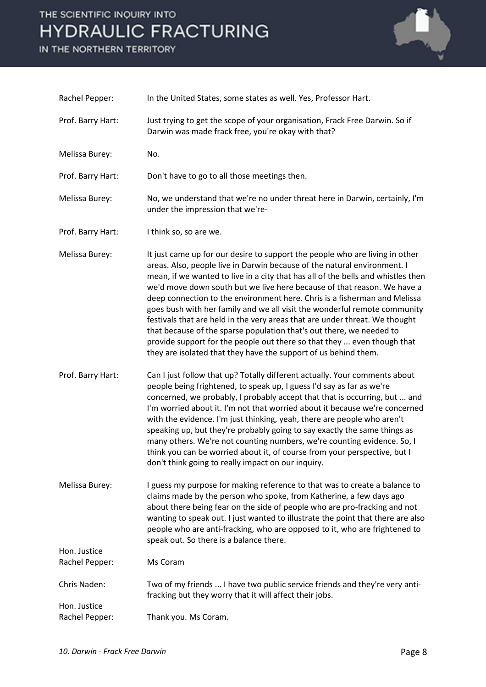IN THE NORTHERN TERRITORY



| Rachel Pepper:               | In the United States, some states as well. Yes, Professor Hart.                                                                                                                                                                                                                                                                                                                                                                                                                                                                                                                                                                                                                                                                                                                        |
|------------------------------|----------------------------------------------------------------------------------------------------------------------------------------------------------------------------------------------------------------------------------------------------------------------------------------------------------------------------------------------------------------------------------------------------------------------------------------------------------------------------------------------------------------------------------------------------------------------------------------------------------------------------------------------------------------------------------------------------------------------------------------------------------------------------------------|
| Prof. Barry Hart:            | Just trying to get the scope of your organisation, Frack Free Darwin. So if<br>Darwin was made frack free, you're okay with that?                                                                                                                                                                                                                                                                                                                                                                                                                                                                                                                                                                                                                                                      |
| Melissa Burey:               | No.                                                                                                                                                                                                                                                                                                                                                                                                                                                                                                                                                                                                                                                                                                                                                                                    |
| Prof. Barry Hart:            | Don't have to go to all those meetings then.                                                                                                                                                                                                                                                                                                                                                                                                                                                                                                                                                                                                                                                                                                                                           |
| Melissa Burey:               | No, we understand that we're no under threat here in Darwin, certainly, I'm<br>under the impression that we're-                                                                                                                                                                                                                                                                                                                                                                                                                                                                                                                                                                                                                                                                        |
| Prof. Barry Hart:            | I think so, so are we.                                                                                                                                                                                                                                                                                                                                                                                                                                                                                                                                                                                                                                                                                                                                                                 |
| Melissa Burey:               | It just came up for our desire to support the people who are living in other<br>areas. Also, people live in Darwin because of the natural environment. I<br>mean, if we wanted to live in a city that has all of the bells and whistles then<br>we'd move down south but we live here because of that reason. We have a<br>deep connection to the environment here. Chris is a fisherman and Melissa<br>goes bush with her family and we all visit the wonderful remote community<br>festivals that are held in the very areas that are under threat. We thought<br>that because of the sparse population that's out there, we needed to<br>provide support for the people out there so that they  even though that<br>they are isolated that they have the support of us behind them. |
| Prof. Barry Hart:            | Can I just follow that up? Totally different actually. Your comments about<br>people being frightened, to speak up, I guess I'd say as far as we're<br>concerned, we probably, I probably accept that that is occurring, but  and<br>I'm worried about it. I'm not that worried about it because we're concerned<br>with the evidence. I'm just thinking, yeah, there are people who aren't<br>speaking up, but they're probably going to say exactly the same things as<br>many others. We're not counting numbers, we're counting evidence. So, I<br>think you can be worried about it, of course from your perspective, but I<br>don't think going to really impact on our inquiry.                                                                                                 |
| Melissa Burey:               | I guess my purpose for making reference to that was to create a balance to<br>claims made by the person who spoke, from Katherine, a few days ago<br>about there being fear on the side of people who are pro-fracking and not<br>wanting to speak out. I just wanted to illustrate the point that there are also<br>people who are anti-fracking, who are opposed to it, who are frightened to<br>speak out. So there is a balance there.                                                                                                                                                                                                                                                                                                                                             |
| Hon. Justice                 |                                                                                                                                                                                                                                                                                                                                                                                                                                                                                                                                                                                                                                                                                                                                                                                        |
| Rachel Pepper:               | Ms Coram                                                                                                                                                                                                                                                                                                                                                                                                                                                                                                                                                                                                                                                                                                                                                                               |
| Chris Naden:<br>Hon. Justice | Two of my friends  I have two public service friends and they're very anti-<br>fracking but they worry that it will affect their jobs.                                                                                                                                                                                                                                                                                                                                                                                                                                                                                                                                                                                                                                                 |
| Rachel Pepper:               | Thank you. Ms Coram.                                                                                                                                                                                                                                                                                                                                                                                                                                                                                                                                                                                                                                                                                                                                                                   |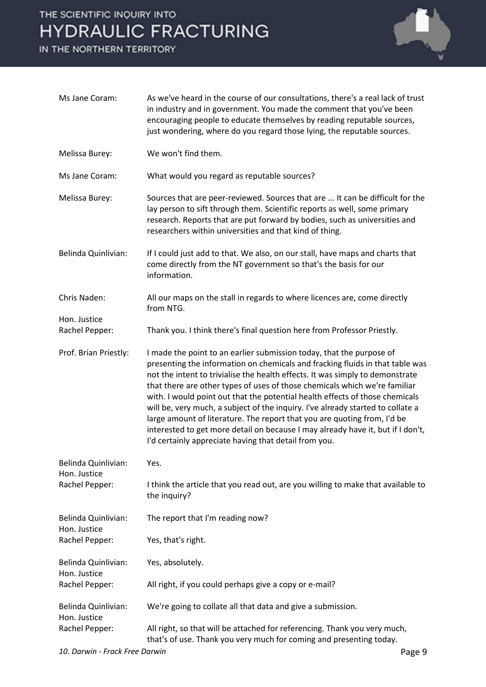IN THE NORTHERN TERRITORY



| Ms Jane Coram:                                        | As we've heard in the course of our consultations, there's a real lack of trust<br>in industry and in government. You made the comment that you've been<br>encouraging people to educate themselves by reading reputable sources,<br>just wondering, where do you regard those lying, the reputable sources.                                                                                                                                                                                                                                                                                                                                                                                                    |
|-------------------------------------------------------|-----------------------------------------------------------------------------------------------------------------------------------------------------------------------------------------------------------------------------------------------------------------------------------------------------------------------------------------------------------------------------------------------------------------------------------------------------------------------------------------------------------------------------------------------------------------------------------------------------------------------------------------------------------------------------------------------------------------|
| Melissa Burey:                                        | We won't find them.                                                                                                                                                                                                                                                                                                                                                                                                                                                                                                                                                                                                                                                                                             |
| Ms Jane Coram:                                        | What would you regard as reputable sources?                                                                                                                                                                                                                                                                                                                                                                                                                                                                                                                                                                                                                                                                     |
| Melissa Burey:                                        | Sources that are peer-reviewed. Sources that are  It can be difficult for the<br>lay person to sift through them. Scientific reports as well, some primary<br>research. Reports that are put forward by bodies, such as universities and<br>researchers within universities and that kind of thing.                                                                                                                                                                                                                                                                                                                                                                                                             |
| Belinda Quinlivian:                                   | If I could just add to that. We also, on our stall, have maps and charts that<br>come directly from the NT government so that's the basis for our<br>information.                                                                                                                                                                                                                                                                                                                                                                                                                                                                                                                                               |
| Chris Naden:                                          | All our maps on the stall in regards to where licences are, come directly<br>from NTG.                                                                                                                                                                                                                                                                                                                                                                                                                                                                                                                                                                                                                          |
| Hon. Justice                                          |                                                                                                                                                                                                                                                                                                                                                                                                                                                                                                                                                                                                                                                                                                                 |
| Rachel Pepper:                                        | Thank you. I think there's final question here from Professor Priestly.                                                                                                                                                                                                                                                                                                                                                                                                                                                                                                                                                                                                                                         |
| Prof. Brian Priestly:                                 | I made the point to an earlier submission today, that the purpose of<br>presenting the information on chemicals and fracking fluids in that table was<br>not the intent to trivialise the health effects. It was simply to demonstrate<br>that there are other types of uses of those chemicals which we're familiar<br>with. I would point out that the potential health effects of those chemicals<br>will be, very much, a subject of the inquiry. I've already started to collate a<br>large amount of literature. The report that you are quoting from, I'd be<br>interested to get more detail on because I may already have it, but if I don't,<br>I'd certainly appreciate having that detail from you. |
| Belinda Quinlivian:<br>Hon. Justice<br>Rachel Pepper: | Yes.                                                                                                                                                                                                                                                                                                                                                                                                                                                                                                                                                                                                                                                                                                            |
|                                                       | I think the article that you read out, are you willing to make that available to<br>the inquiry?                                                                                                                                                                                                                                                                                                                                                                                                                                                                                                                                                                                                                |
| Belinda Quinlivian:<br>Hon. Justice<br>Rachel Pepper: | The report that I'm reading now?                                                                                                                                                                                                                                                                                                                                                                                                                                                                                                                                                                                                                                                                                |
|                                                       | Yes, that's right.                                                                                                                                                                                                                                                                                                                                                                                                                                                                                                                                                                                                                                                                                              |
| Belinda Quinlivian:<br>Hon. Justice                   | Yes, absolutely.                                                                                                                                                                                                                                                                                                                                                                                                                                                                                                                                                                                                                                                                                                |
| Rachel Pepper:                                        | All right, if you could perhaps give a copy or e-mail?                                                                                                                                                                                                                                                                                                                                                                                                                                                                                                                                                                                                                                                          |
| Belinda Quinlivian:<br>Hon. Justice                   | We're going to collate all that data and give a submission.                                                                                                                                                                                                                                                                                                                                                                                                                                                                                                                                                                                                                                                     |
| Rachel Pepper:                                        | All right, so that will be attached for referencing. Thank you very much,<br>that's of use. Thank you very much for coming and presenting today.                                                                                                                                                                                                                                                                                                                                                                                                                                                                                                                                                                |